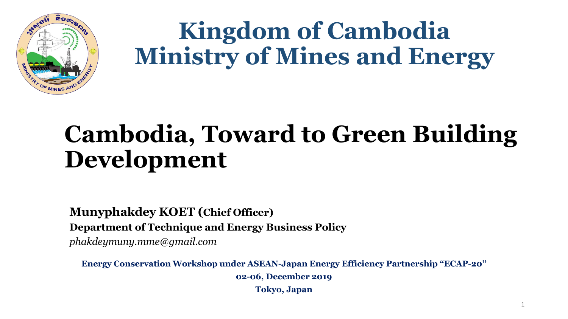

# **Kingdom of Cambodia Ministry of Mines and Energy**

## **Cambodia, Toward to Green Building Development**

**Munyphakdey KOET (Chief Officer) Department of Technique and Energy Business Policy** *phakdeymuny.mme@gmail.com*

**Energy Conservation Workshop under ASEAN-Japan Energy Efficiency Partnership "ECAP-20" 02-06, December 2019 Tokyo, Japan**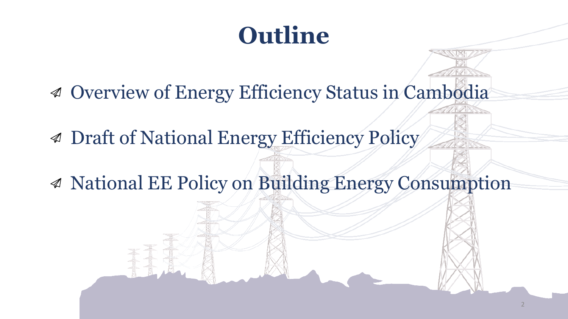## **Outline**

- Overview of Energy Efficiency Status in Cambodia
- Draft of National Energy Efficiency Policy
- National EE Policy on Building Energy Consumption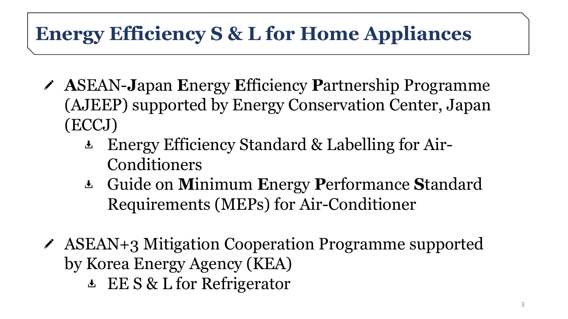#### **Energy Efficiency S & L for Home Appliances**

- **A**SEAN-**J**apan **E**nergy **E**fficiency **P**artnership Programme (AJEEP) supported by Energy Conservation Center, Japan (ECCJ)
	- Energy Efficiency Standard & Labelling for Air-Conditioners
	- Guide on **M**inimum **E**nergy **P**erformance **S**tandard Requirements (MEPs) for Air-Conditioner
- ASEAN+3 Mitigation Cooperation Programme supported by Korea Energy Agency (KEA)
	- **EV S & L for Refrigerator**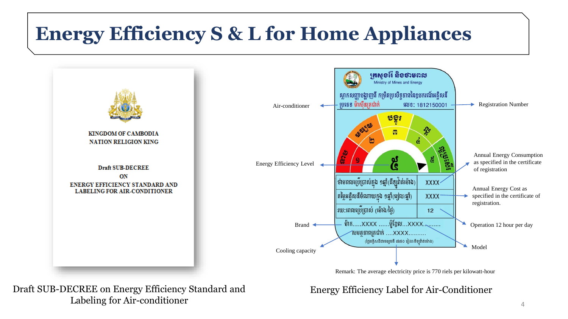#### **Energy Efficiency S & L for Home Appliances**



Draft SUB-DECREE on Energy Efficiency Standard and Labeling for Air-conditioner  $4 \times 4$ 

Energy Efficiency Label for Air-Conditioner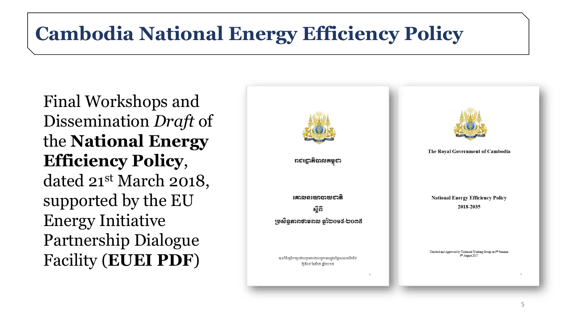#### **Cambodia National Energy Efficiency Policy**

Final Workshops and Dissemination *Draft* of the **National Energy Efficiency Policy**, dated 21st March 2018, supported by the EU Energy Initiative Partnership Dialogue Facility (**EUEI PDF**)

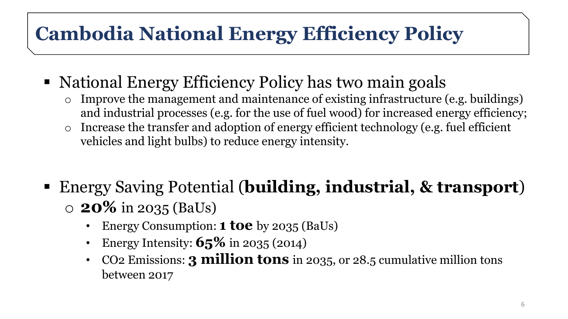### **Cambodia National Energy Efficiency Policy**

- National Energy Efficiency Policy has two main goals
	- $\circ$  Improve the management and maintenance of existing infrastructure (e.g. buildings) and industrial processes (e.g. for the use of fuel wood) for increased energy efficiency;
	- o Increase the transfer and adoption of energy efficient technology (e.g. fuel efficient vehicles and light bulbs) to reduce energy intensity.
- Energy Saving Potential (**building, industrial, & transport**) o **20%** in 2035 (BaUs)
	- Energy Consumption: **1 toe** by 2035 (BaUs)
	- Energy Intensity: **65%** in 2035 (2014)
	- CO2 Emissions: **3 million tons** in 2035, or 28.5 cumulative million tons between 2017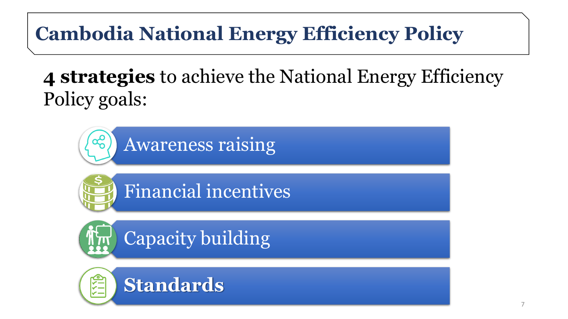## **Cambodia National Energy Efficiency Policy**

### **4 strategies** to achieve the National Energy Efficiency Policy goals:

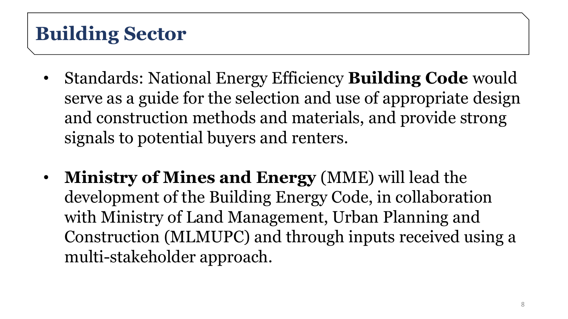#### **Building Sector**

- Standards: National Energy Efficiency **Building Code** would serve as a guide for the selection and use of appropriate design and construction methods and materials, and provide strong signals to potential buyers and renters.
- **Ministry of Mines and Energy** (MME) will lead the development of the Building Energy Code, in collaboration with Ministry of Land Management, Urban Planning and Construction (MLMUPC) and through inputs received using a multi-stakeholder approach.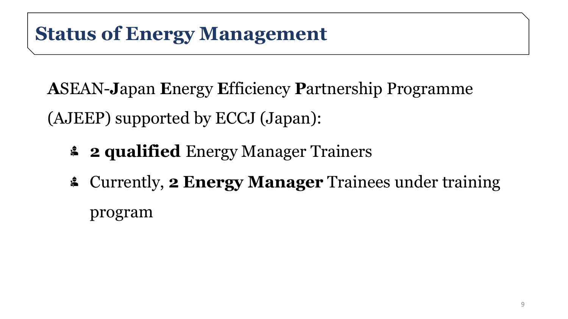**A**SEAN-**J**apan **E**nergy **E**fficiency **P**artnership Programme (AJEEP) supported by ECCJ (Japan):

- **2 qualified** Energy Manager Trainers
- Currently, **2 Energy Manager** Trainees under training program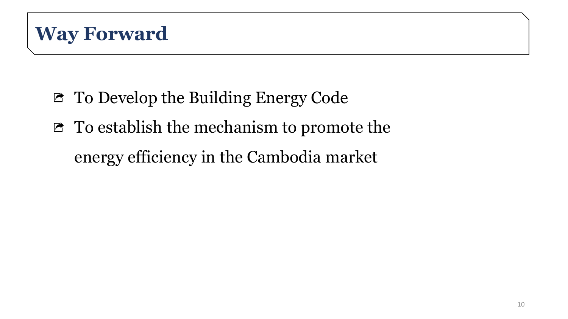- To Develop the Building Energy Code
- To establish the mechanism to promote the

energy efficiency in the Cambodia market